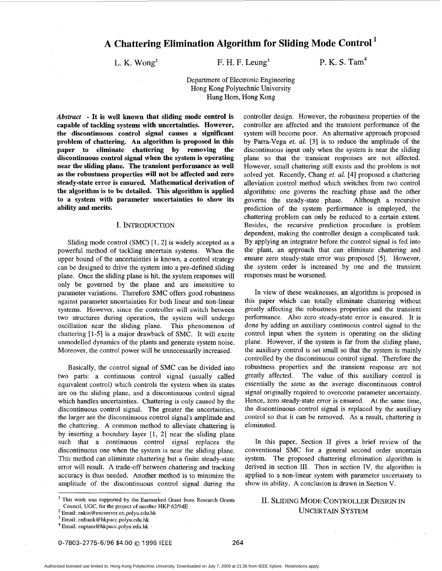# **A Chattering Elimination Algorithm for Sliding Mode Control**

L. K. Wong<sup>2</sup> **F. H. F. Leung<sup>3</sup> P. K. S. Tam<sup>4</sup>** 

Department of Electronic Engineering Hong Kong Polytechnic University Hung Hom, Hong Kong

*Abstract* - **It is well known that sliding mode control is capable of tackling systems with uncertainties. However, the discontinuous control signal causes a significant problem of chattering. An algorithm is proposed in this paper to eliminate chattering by removing the discontinuous control signal when the system is operating near the sliding plane. The transient performance as well as the robustness properties will not be affected and zero steady-state error is ensured. Mathematical derivation of the algorithm is to be detailed. This algorithm is applied to a system with parameter uncertainties to show its ability and merits.** 

## I. INTRODUCTION

Sliding mode control **(SMC) [l,** 21 is widely accepted as a powerful method of tackling uncertain systems. When the upper bound of the uncertainties is known, a control strategy can be designed to drive the system into a pre-defined sliding plane. Once the sliding plane is hit, the system responses will only be governed by the plane and are insensitive to parameter variations. Therefore SMC offers good robustness against parameter uncertainties for both linear and non-linear systems. However, since the controller will switch between two structures during operation, the system will undergo oscillation near the sliding plane. This phenomenon of chattering **[l-51** is a major drawback of SMC. It will excite unmodelled dynamics of the plants and generate system noise. Moreover, the control power will be unnecessarily increased.

Basically, the control signal of SMC can be divided into two parts: a continuous control signal (usually called equivalent control) which controls the system when its states are on the sliding plane, and a discontinuous control signal which handles uncertainties. Chattering is only caused by the discontinuous control signal. The greater the uncertainties, the larger are the discontinuous control signal's amplitude and the chattering. A common method to alleviate chattering is by inserting a boundary layer  $[1, 2]$  near the sliding plane such that a continuous control signal replaces the discontinuous one when the system is near the sliding plane. This method can eliminate chattering but a finite steady-state error will result. A trade-off between chattering and tracking accuracy is thus needed. Another method is to minimize the amplitude of the discontinuous control signal during the

controller design, However, the robustness properties of the controller are affected and the transient performance of the system will become poor. An alternative approach proposed by Parra-Vega *et. al.* **[3]** is to reduce the amplitude of the discontinuous input only when the system is near the sliding plane so that the transient responses are not affected. However, small chattering still exists and the problem is not solved yet. Recently, Chang *et. al.* [4] proposed a chattering alleviation control method which switches from two control algorithms: one governs the reaching phase and the other governs the steady-state phase. Although a recursive prediction of the system performance is employed, the chattering problem can only be reduced to a certain extent. Besides, the recursive prediction procedure is problem dependent, making the controller design a complicated task. By applying an integrator before the control signal is fed into the plant, an approach that can eliminate chattering and ensure zero steady-state error was proposed [5]. However, the system order is increased by one and the transient responses must be worsened.

In view of these weaknesses, an algorithm is proposed in this paper which can totally eliminate chattering without greatly affecting the robustness properties and the transient performance. Also zero steady-state error is ensured. It is done by adding an auxiliary continuous control signal to the control input when the system is operating on the sliding plane. However, if the system is far from the sliding plane, the auxiliary control is set small so that the system is mainly controlled by the discontinuous control signal. Therefore the robustness properties and the transient response are not greatly affected. The value of this auxiliary control is essentially the same as the average discontinuous control signal originally required to overcome parameter uncertainty. Hence, zero steady-state error is ensured. At the same time, the discontinuous control signal is replaced by the auxiliary control so that it can be removed. As a result, chattering is eliminated.

In this paper, Section I1 gives a brief review of the conventional **SMC** for a general second order uncertain system. The proposed chattering elimination algorithm is derived in section 111. Then in section IV, the algorithm is applied to a non-linear system with parameter uncertainty to show its ability. A conclusion is drawn in Section V.

# 11. SLIDING MODE CONTROLLER DESIGN IN UNCERTAIN SYSTEM

# 0-7803-2775-6196 \$4.00 *0* 1996 IEEE 264

<sup>&#</sup>x27; This work was supported by the Earmarked Grant from Research Grants Council, UGC, for the project of number HKP 62/94E

Email: **enkin@encserver.en.polyu.edu.hk** 

Email: **enfrank@hkpucc.polyu.edu.hk** 

Email: enptam@hkpucc.polyu.edu.hk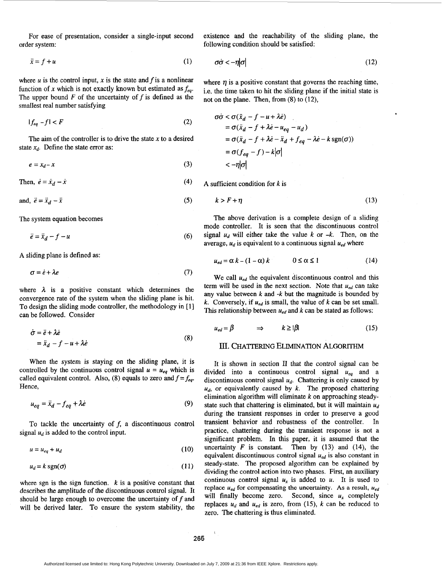order system: following condition should be satisfied:

$$
\ddot{x} = f + u \tag{1}
$$

where  $u$  is the control input,  $x$  is the state and  $f$  is a nonlinear function of x which is not exactly known but estimated as  $f_{eq}$ . The upper bound  $F$  of the uncertainty of  $f$  is defined as the smallest real number satisfying

$$
|f_{eq} - f| < F \tag{2}
$$
\n
$$
= \sigma(\ddot{x}_d - f + \lambda \dot{e} - u_{eq} - u_d)
$$

The aim of the controller is to drive the state  $x$  to a desired state  $x_d$ . Define the state error as:

$$
e = x_d - x \tag{3} \tag{3}
$$

Then,  $\dot{e} = \dot{x}_d - \dot{x}$  (4) A sufficient condition for k is

and, 
$$
\ddot{e} = \ddot{x}_d - \ddot{x}
$$
 (5)

The system equation becomes

$$
\ddot{e} = \ddot{x}_d - f - u \tag{6}
$$

A sliding plane is defined as:

$$
\sigma = \dot{e} + \lambda e \tag{7}
$$

where  $\lambda$  is a positive constant which determines the To design the sliding mode controller, the methodology in [ 11 can be followed. Consider

$$
\dot{\sigma} = \ddot{e} + \lambda \dot{e}
$$
  
=  $\ddot{x}_d - f - u + \lambda \dot{e}$  (8)

When the system is staying on the sliding plane, it is controlled by the continuous control signal  $u = u_{eq}$  which is called equivalent control. Also, (8) equals to zero and  $f = f_{eq}$ . Hence,

$$
u_{eq} = \ddot{x}_d - f_{eq} + \lambda \dot{e}
$$
 (9)

To tackle the uncertainty of  $f$ , a discontinuous control signal  $u_d$  is added to the control input.

$$
u = u_{eq} + u_d \tag{10}
$$

$$
u_d = k \, \text{sgn}(\sigma) \tag{11}
$$

where sgn is the sign function.  $k$  is a positive constant that describes the amplitude of the discontinuous control signal. It should be large enough to overcome the uncertainty of  $f$  and will be derived later. To ensure the system stability, the

For ease of presentation, consider a single-input second existence and the reachability of the sliding plane, the

$$
\sigma \dot{\sigma} < -\eta |\sigma| \tag{12}
$$

where  $\eta$  is a positive constant that governs the reaching time, i.e. the time taken to hit the sliding plane if the initial state is not on the plane. Then, from **(8)** to (12),

$$
\begin{aligned}\n\sigma \dot{\sigma} &< \sigma (\ddot{x}_d - f - u + \lambda \dot{e}) \\
&= \sigma (\ddot{x}_d - f + \lambda \dot{e} - u_{eq} - u_d) \\
&= \sigma (\ddot{x}_d - f + \lambda \dot{e} - \ddot{x}_d + f_{eq} - \lambda \dot{e} - k \operatorname{sgn}(\sigma)) \\
&= \sigma (f_{eq} - f) - k |\sigma| \\
&< -\eta |\sigma|\n\end{aligned}
$$

$$
k > F + \eta \tag{13}
$$

The above derivation is a complete design of a sliding mode controller. It is seen that the discontinuous control signal  $u_d$  will either take the value *k* or  $-k$ . Then, on the average,  $u_d$  is equivalent to a continuous signal  $u_{ed}$  where

$$
u_{ed} = \alpha k - (1 - \alpha) k \qquad \qquad 0 \le \alpha \le 1 \tag{14}
$$

We call  $u_{\text{ed}}$  the equivalent discontinuous control and this term will be used in the next section. Note that  $u_{\text{ed}}$  can take any value between *k* and *-k* but the magnitude is bounded by This relationship between  $u_{ed}$  and  $k$  can be stated as follows: convergence rate of the system when the sliding plane is hit.  $\kappa$  *k.* Conversely, if  $u_{ed}$  is small, the value of k can be set small.

$$
u_{ed} = \beta \qquad \Rightarrow \qquad k \geq |\beta| \tag{15}
$$

#### III. CHATTERING ELIMINATION ALGORITHM

It is shown in section **I1** that the control signal can be divided into a continuous control signal *ueq* and a discontinuous control signal  $u_d$ . Chattering is only caused by  $u_d$ , or equivalently caused by  $k$ . The proposed chattering elimination algorithm will eliminate  $k$  on approaching steadystate such that chattering is eliminated, but it will maintain  $u_d$ during the transient responses in order to preserve **a** good transient behavior and robustness of the controller. In practice, chattering during the transient response is not a significant problem. In this paper, it is assumed that the uncertainty  $F$  is constant. Then by (13) and (14), the equivalent discontinuous control signal  $u_{ed}$  is also constant in steady-state. The proposed algorithm can be explained by dividing the control action into two phases. First, an auxiliary continuous control signal  $u_x$  is added to  $u$ . It is used to replace  $u_{ed}$  for compensating the uncertainty. As a result,  $u_{ed}$ will finally become zero. Second, since  $u_x$  completely replaces  $u_d$  and  $u_{ed}$  is zero, from (15), k can be reduced to zero. The chattering is thus eliminated.

Authorized licensed use limited to: Hong Kong Polytechnic University. Downloaded on July 7, 2009 at 21:36 from IEEE Xplore. Restrictions apply.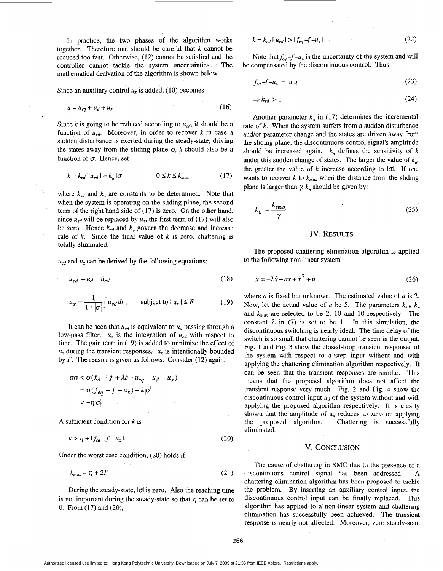In practice, the two phases of the algorithm works together. Therefore one should be careful that *k* cannot be reduced too fast. Otherwise, (12) cannot be satisfied and the controller cannot tackle the system uncertainties. The mathematical derivation of the algorithm is shown below.

Since an auxiliary control  $u_x$  is added, (10) becomes

$$
u = u_{eq} + u_d + u_x \tag{16}
$$

Since  $k$  is going to be reduced according to  $u_{ed}$ , it should be a function of  $u_{ed}$ . Moreover, in order to recover  $k$  in case a sudden disturbance is exerted during the steady-state, driving the states away from the sliding plane  $\sigma$ , *k* should also be a function of  $\sigma$ . Hence, set

$$
k = k_{ed} | u_{ed} | + k_{\alpha} | \sigma | \qquad \qquad 0 \le k \le k_{max} \qquad (17)
$$

where  $k_{ed}$  and  $k_a$  are constants to be determined. Note that when the system is operating on the sliding plane, the second term of the right hand side of (17) is zero. On the other hand, since  $u_{ed}$  will be replaced by  $u_x$ , the first term of (17) will also be zero. Hence  $k_{ed}$  and  $k_a$  govern the decrease and increase rate of *k.* Since the final value of *k* is zero, chattering is totally eliminated.

 $u_{\text{ed}}$  and  $u_{\text{r}}$  can be derived by the following equations:

$$
u_{ed} = u_d - \dot{u}_{ed} \tag{18}
$$

$$
u_x = \frac{1}{1+|\sigma|} \int u_{ed} dt
$$
, subject to  $|u_x| \le F$  (19)

It can be seen that  $u_{ed}$  is equivalent to  $u_d$  passing through a low-pass filter.  $u_x$  is the integration of  $u_{\text{ed}}$  with respect to time. The gain term in (19) is added to minimize the effect of  $u_x$  during the transient responses.  $u_x$  is intentionally bounded by  $F$ . The reason is given as follows. Consider (12) again,

$$
\sigma\dot{\sigma} < \sigma(\ddot{x}_d - f + \lambda \dot{e} - u_{eq} - u_d - u_x)
$$
\n
$$
= \sigma(f_{eq} - f - u_x) - k|\sigma|
$$
\n
$$
< -\eta|\sigma|
$$

A sufficient condition for  $k$  is

$$
k > \eta + |f_{ea} - f - u_x| \tag{20}
$$

Under the worst case condition, (20) holds if

$$
k_{\text{max}} = \eta + 2F \tag{21}
$$

During the steady-state, **Id** is zero. Also the reaching time is not important during the steady-state so that  $\eta$  can be set to 0. From (17) and (20),

$$
k = k_{ed} |u_{ed}| > |f_{eq} - f - u_x|
$$
 (22)

Note that  $f_{eq} - f - u_x$  is the uncertainty of the system and will be compensated by the discontinuous control. Thus

$$
f_{eq} - f - u_x = u_{ed} \tag{23}
$$

$$
\Rightarrow k_{ed} > 1 \tag{24}
$$

Another parameter  $k<sub>\sigma</sub>$  in (17) determines the incremental rate of *k.* When the system suffers from a sudden disturbance and/or parameter change and the states are driven away from the sliding plane, the discontinuous control signal's amplitude should be increased again.  $k_a$  defines the sensitivity of  $k_a$ under this sudden change of states. The larger the value of  $k_{\sigma}$ , the greater the value of *k* increase according to **id.** If one wants to recover  $k$  to  $k_{max}$  when the distance from the sliding plane is larger than  $\gamma$ ,  $k_{\sigma}$  should be given by:

$$
k_{\sigma} = \frac{k_{\text{max}}}{\gamma} \tag{25}
$$

### IV. RESULTS

The proposed chattering elimination algorithm is applied to the following non-linear system'

$$
\ddot{x} = -2\dot{x} - ax + \dot{x}^2 + u \tag{26}
$$

where *a* is fixed but unknown. The estimated value of *a* is **2.**  Now, let the actual value of *a* be 5. The parameters  $k_{ed}$ ,  $k_{\sigma}$ and  $k_{max}$  are selected to be 2, 10 and 10 respectively. The constant  $\lambda$  in (7) is set to be 1. In this simulation, the discontinuous switching is nearly ideal. The time delay of the switch is so small that chattering cannot be seen in the output. Fig. 1 and [Fig. 3](#page-4-0) show the closed-loop transient responses of the system with respect to a step input without and with applying the chattering elimination algorithm respectively. It can be seen that the transient responses are similar. This means that the proposed algorithm does not affect the transient response very much. Fig. 2 and Fig. 4 show the discontinuous control input  $u_d$  of the system without and with applying the proposed algorithm respectively. It is clearly shown that the amplitude of  $u_d$  reduces to zero on applying the proposed algorithm. Chattering **is** successfully eliminated.

# V. CONCLUSION

The cause of chattering in SMC due to the presence of a discontinuous control signal has been addressed. A chattering elimination algorithm has been proposed to **tackle**  the problem. By inserting an auxiliary control input, the discontinuous control input can be finally replaced. This algorithm has applied to a non-linear system and chattering elimination has successfully been achieved. The transient response is nearly not affected. Moreover, zero steady-state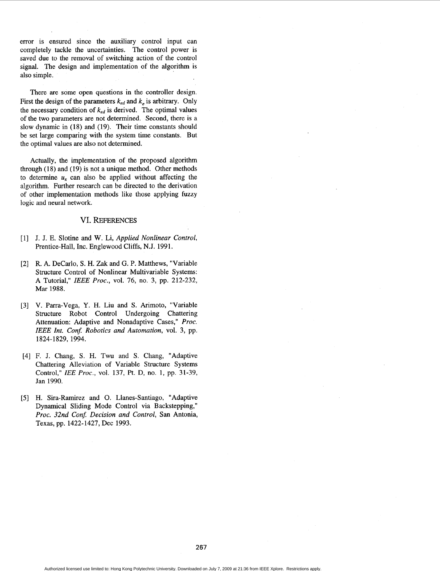error is ensured since the auxiliary control input can completely tackle the uncertainties. The control power is saved due to the removal of switching action of the control signal. The design and implementation of the algorithm is also simple.

There are some open questions in the controller design. First the design of the parameters  $k_{ed}$  and  $k_{\sigma}$  is arbitrary. Only the necessary condition of  $k_{ed}$  is derived. The optimal values of the two parameters are not determined. Second, there is a slow dynamic in (18) and (19). Their time constants should be set large comparing with the system time constants. But the optimal values are also not determined.

Actually, the implementation of the proposed algorithm through (18) and (19) is not a unique method. Other methods to determine  $u_r$  can also be applied without affecting the algorithm. Further research can be directed to the derivation of other implementation methods like those applying fuzzy logic and neural network.

# VI. **REFERENCES**

- J. J. E. Slotine and **W.** Li, *Applied Nonlinear Control,*  Prentice-Hall, Inc. Englewood Cliffs, N.J. 1991.
- R. A. DeCarlo, *S.* H. Zak and *G.* P. Matthews, "Variable Structure Control of Nonlinear Multivariable Systems: A Tutorial," *IEEE Proc.,* vol. **76,** no. 3, pp. 212-232, Mar 1988.
- V. Parra-Vega, Y. H. Liu and **S.** Arimoto, "Variable Structure Robot Control Undergoing Chattering Attenuation: Adaptive and Nonadaptive Cases," *Proc. IEEE Int. Conf. Robotics and Automation, vol. 3, pp.* 1824-1829, 1994.
- F. J. Chang, **S.** H. Twu and **S.** Chang, "Adaptive Chattering Alleviation of Variable Structure Systems Control," *ZEE Proc.,* vol. 137, Pt. D, no. **1,** pp. 31-39, Jan 1990.
- H. Sira-Ramirez and 0. Llanes-Santiago, "Adaptive Dynamical Sliding Mode Control via Backstepping," *Proc. 32nd Con\$ Decision and Control,* San Antonia, Texas, pp. 1422-1427, Dec 1993.

Authorized licensed use limited to: Hong Kong Polytechnic University. Downloaded on July 7, 2009 at 21:36 from IEEE Xplore. Restrictions apply.